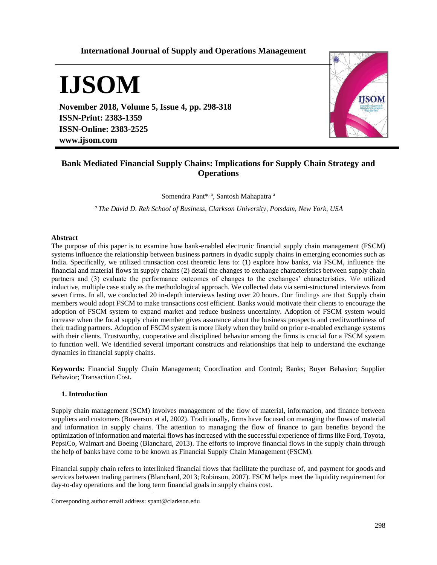# **International Journal of Supply and Operations Management**

# **IJSOM**

**November 2018, Volume 5, Issue 4, pp. 298-318 ISSN-Print: 2383-1359 ISSN-Online: 2383-2525 www.ijsom.com**



# **Bank Mediated Financial Supply Chains: Implications for Supply Chain Strategy and Operations**

Somendra Pant<sup>\*, a</sup>, Santosh Mahapatra a

*<sup>a</sup> The David D. Reh School of Business, Clarkson University, Potsdam, New York, USA*

## **Abstract**

The purpose of this paper is to examine how bank-enabled electronic financial supply chain management (FSCM) systems influence the relationship between business partners in dyadic supply chains in emerging economies such as India. Specifically, we utilized transaction cost theoretic lens to: (1) explore how banks, via FSCM, influence the financial and material flows in supply chains (2) detail the changes to exchange characteristics between supply chain partners and (3) evaluate the performance outcomes of changes to the exchanges' characteristics. We utilized inductive, multiple case study as the methodological approach. We collected data via semi-structured interviews from seven firms. In all, we conducted 20 in-depth interviews lasting over 20 hours. Our findings are that Supply chain members would adopt FSCM to make transactions cost efficient. Banks would motivate their clients to encourage the adoption of FSCM system to expand market and reduce business uncertainty. Adoption of FSCM system would increase when the focal supply chain member gives assurance about the business prospects and creditworthiness of their trading partners. Adoption of FSCM system is more likely when they build on prior e-enabled exchange systems with their clients. Trustworthy, cooperative and disciplined behavior among the firms is crucial for a FSCM system to function well. We identified several important constructs and relationships that help to understand the exchange dynamics in financial supply chains.

**Keywords:** Financial Supply Chain Management; Coordination and Control; Banks; Buyer Behavior; Supplier Behavior; Transaction Cost**.**

#### **1. Introduction**

Supply chain management (SCM) involves management of the flow of material, information, and finance between suppliers and customers (Bowersox et al, 2002). Traditionally, firms have focused on managing the flows of material and information in supply chains. The attention to managing the flow of finance to gain benefits beyond the optimization of information and material flows has increased with the successful experience of firms like Ford, Toyota, PepsiCo, Walmart and Boeing (Blanchard, 2013). The efforts to improve financial flows in the supply chain through the help of banks have come to be known as Financial Supply Chain Management (FSCM).

Financial supply chain refers to interlinked financial flows that facilitate the purchase of, and payment for goods and services between trading partners (Blanchard, 2013; Robinson, 2007). FSCM helps meet the liquidity requirement for day-to-day operations and the long term financial goals in supply chains cost.

Corresponding author email address: spant@clarkson.edu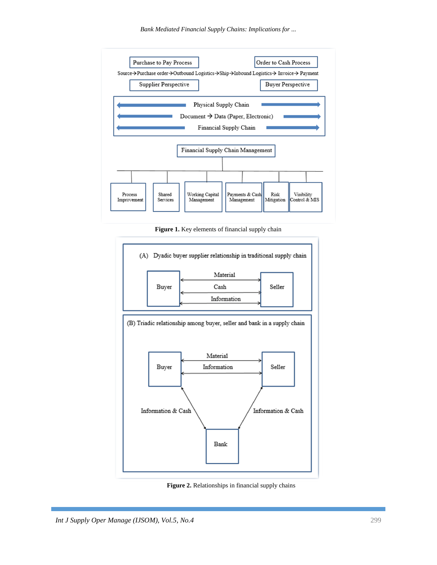*Bank Mediated Financial Supply Chains: Implications for ...*



**Figure 1.** Key elements of financial supply chain



**Figure 2.** Relationships in financial supply chains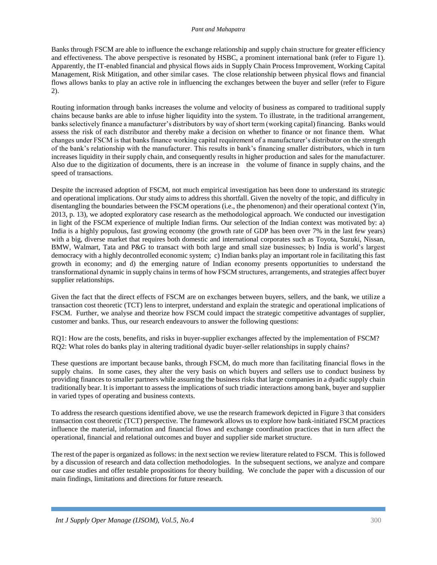Banks through FSCM are able to influence the exchange relationship and supply chain structure for greater efficiency and effectiveness. The above perspective is resonated by HSBC, a prominent international bank (refer to Figure 1). Apparently, the IT-enabled financial and physical flows aids in Supply Chain Process Improvement, Working Capital Management, Risk Mitigation, and other similar cases. The close relationship between physical flows and financial flows allows banks to play an active role in influencing the exchanges between the buyer and seller (refer to Figure 2).

Routing information through banks increases the volume and velocity of business as compared to traditional supply chains because banks are able to infuse higher liquidity into the system. To illustrate, in the traditional arrangement, banks selectively finance a manufacturer's distributors by way of short term (working capital) financing. Banks would assess the risk of each distributor and thereby make a decision on whether to finance or not finance them. What changes under FSCM is that banks finance working capital requirement of a manufacturer's distributor on the strength of the bank's relationship with the manufacturer. This results in bank's financing smaller distributors, which in turn increases liquidity in their supply chain, and consequently results in higher production and sales for the manufacturer. Also due to the digitization of documents, there is an increase in the volume of finance in supply chains, and the speed of transactions.

Despite the increased adoption of FSCM, not much empirical investigation has been done to understand its strategic and operational implications. Our study aims to address this shortfall. Given the novelty of the topic, and difficulty in disentangling the boundaries between the FSCM operations (i.e., the phenomenon) and their operational context (Yin, 2013, p. 13), we adopted exploratory case research as the methodological approach. We conducted our investigation in light of the FSCM experience of multiple Indian firms. Our selection of the Indian context was motivated by: a) India is a highly populous, fast growing economy (the growth rate of GDP has been over 7% in the last few years) with a big, diverse market that requires both domestic and international corporates such as Toyota, Suzuki, Nissan, BMW, Walmart, Tata and P&G to transact with both large and small size businesses; b) India is world's largest democracy with a highly decontrolled economic system; c) Indian banks play an important role in facilitating this fast growth in economy; and d) the emerging nature of Indian economy presents opportunities to understand the transformational dynamic in supply chains in terms of how FSCM structures, arrangements, and strategies affect buyer supplier relationships.

Given the fact that the direct effects of FSCM are on exchanges between buyers, sellers, and the bank, we utilize a transaction cost theoretic (TCT) lens to interpret, understand and explain the strategic and operational implications of FSCM. Further, we analyse and theorize how FSCM could impact the strategic competitive advantages of supplier, customer and banks. Thus, our research endeavours to answer the following questions:

RQ1: How are the costs, benefits, and risks in buyer-supplier exchanges affected by the implementation of FSCM? RQ2: What roles do banks play in altering traditional dyadic buyer-seller relationships in supply chains?

These questions are important because banks, through FSCM, do much more than facilitating financial flows in the supply chains. In some cases, they alter the very basis on which buyers and sellers use to conduct business by providing finances to smaller partners while assuming the business risks that large companies in a dyadic supply chain traditionally bear. It is important to assess the implications of such triadic interactions among bank, buyer and supplier in varied types of operating and business contexts.

To address the research questions identified above, we use the research framework depicted in Figure 3 that considers transaction cost theoretic (TCT) perspective. The framework allows us to explore how bank-initiated FSCM practices influence the material, information and financial flows and exchange coordination practices that in turn affect the operational, financial and relational outcomes and buyer and supplier side market structure.

The rest of the paper is organized as follows: in the next section we review literature related to FSCM. This is followed by a discussion of research and data collection methodologies. In the subsequent sections, we analyze and compare our case studies and offer testable propositions for theory building. We conclude the paper with a discussion of our main findings, limitations and directions for future research.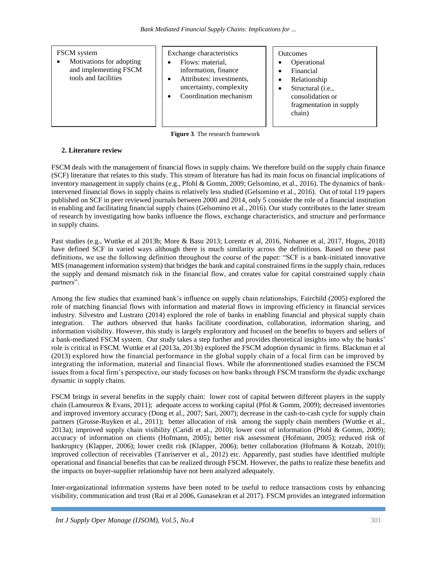## FSCM system

• Motivations for adopting and implementing FSCM tools and facilities

Exchange characteristics Flows: material,

- information, finance
- Attributes: investments, uncertainty, complexity
- Coordination mechanism

## **Outcomes**

- Operational
- Financial
- Relationship
- Structural (i.e.,
- consolidation or fragmentation in supply chain)
- **Figure 3**. The research framework

## **2. Literature review**

FSCM deals with the management of financial flows in supply chains. We therefore build on the supply chain finance (SCF) literature that relates to this study. This stream of literature has had its main focus on financial implications of inventory management in supply chains (e.g., Pfohl & Gomm, 2009; Gelsomino, et al., 2016). The dynamics of bankintervened financial flows in supply chains is relatively less studied (Gelsomino et al., 2016). Out of total 119 papers published on SCF in peer reviewed journals between 2000 and 2014, only 5 consider the role of a financial institution in enabling and facilitating financial supply chains (Gelsomino et al., 2016). Our study contributes to the latter stream of research by investigating how banks influence the flows, exchange characteristics, and structure and performance in supply chains.

Past studies (e.g., Wuttke et al 2013b; More & Basu 2013; Lorentz et al, 2016, Nobanee et al, 2017, Hugos, 2018) have defined SCF in varied ways although there is much similarity across the definitions. Based on these past definitions, we use the following definition throughout the course of the paper: "SCF is a bank-initiated innovative MIS (management information system) that bridges the bank and capital constrained firms in the supply chain, reduces the supply and demand mismatch risk in the financial flow, and creates value for capital constrained supply chain partners".

Among the few studies that examined bank's influence on supply chain relationships, Fairchild (2005) explored the role of matching financial flows with information and material flows in improving efficiency in financial services industry. Silvestro and Lustrato (2014) explored the role of banks in enabling financial and physical supply chain integration. The authors observed that banks facilitate coordination, collaboration, information sharing, and information visibility. However, this study is largely exploratory and focused on the benefits to buyers and sellers of a bank-mediated FSCM system. Our study takes a step further and provides theoretical insights into why the banks' role is critical in FSCM. Wuttke et al (2013a, 2013b) explored the FSCM adoption dynamic in firms. Blackman et al (2013) explored how the financial performance in the global supply chain of a focal firm can be improved by integrating the information, material and financial flows. While the aforementioned studies examined the FSCM issues from a focal firm's perspective, our study focuses on how banks through FSCM transform the dyadic exchange dynamic in supply chains.

FSCM brings in several benefits in the supply chain: lower cost of capital between different players in the supply chain (Lamoureux & Evans, 2011); adequate access to working capital (Pfol & Gomm, 2009); decreased inventories and improved inventory accuracy (Dong et al., 2007; Sari, 2007); decrease in the cash-to-cash cycle for supply chain partners (Grosse-Ruyken et al., 2011); better allocation of risk among the supply chain members (Wuttke et al., 2013a); improved supply chain visibility (Caridi et al., 2010); lower cost of information (Pfohl & Gomm, 2009); accuracy of information on clients (Hofmann, 2005); better risk assessment (Hofmann, 2005); reduced risk of bankruptcy (Klapper, 2006); lower credit risk (Klapper, 2006); better collaboration (Hofmann & Kotzab, 2010); improved collection of receivables (Tanriserver et al., 2012) etc. Apparently, past studies have identified multiple operational and financial benefits that can be realized through FSCM. However, the paths to realize these benefits and the impacts on buyer-supplier relationship have not been analyzed adequately.

Inter-organizational information systems have been noted to be useful to reduce transactions costs by enhancing visibility, communication and trust (Rai et al 2006, Gunasekran et al 2017). FSCM provides an integrated information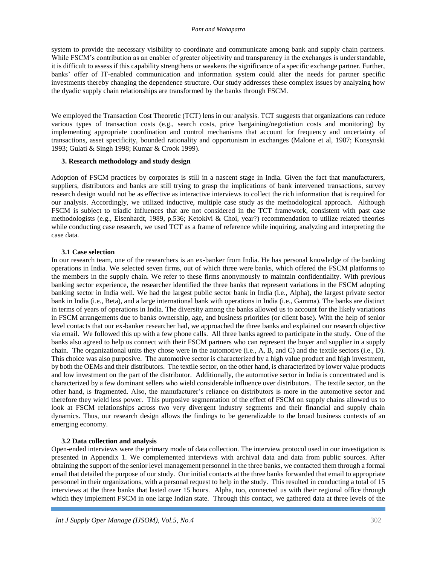#### *Pant and Mahapatra*

system to provide the necessary visibility to coordinate and communicate among bank and supply chain partners. While FSCM's contribution as an enabler of greater objectivity and transparency in the exchanges is understandable, it is difficult to assess if this capability strengthens or weakens the significance of a specific exchange partner. Further, banks' offer of IT-enabled communication and information system could alter the needs for partner specific investments thereby changing the dependence structure. Our study addresses these complex issues by analyzing how the dyadic supply chain relationships are transformed by the banks through FSCM.

We employed the Transaction Cost Theoretic (TCT) lens in our analysis. TCT suggests that organizations can reduce various types of transaction costs (e.g., search costs, price bargaining/negotiation costs and monitoring) by implementing appropriate coordination and control mechanisms that account for frequency and uncertainty of transactions, asset specificity, bounded rationality and opportunism in exchanges (Malone et al, 1987; Konsynski 1993; Gulati & Singh 1998; Kumar & Crook 1999).

#### **3. Research methodology and study design**

Adoption of FSCM practices by corporates is still in a nascent stage in India. Given the fact that manufacturers, suppliers, distributors and banks are still trying to grasp the implications of bank intervened transactions, survey research design would not be as effective as interactive interviews to collect the rich information that is required for our analysis. Accordingly, we utilized inductive, multiple case study as the methodological approach. Although FSCM is subject to triadic influences that are not considered in the TCT framework, consistent with past case methodologists (e.g., Eisenhardt, 1989, p.536; Ketokivi & Choi, year?) recommendation to utilize related theories while conducting case research, we used TCT as a frame of reference while inquiring, analyzing and interpreting the case data.

#### **3.1 Case selection**

In our research team, one of the researchers is an ex-banker from India. He has personal knowledge of the banking operations in India. We selected seven firms, out of which three were banks, which offered the FSCM platforms to the members in the supply chain. We refer to these firms anonymously to maintain confidentiality. With previous banking sector experience, the researcher identified the three banks that represent variations in the FSCM adopting banking sector in India well. We had the largest public sector bank in India (i.e., Alpha), the largest private sector bank in India (i.e., Beta), and a large international bank with operations in India (i.e., Gamma). The banks are distinct in terms of years of operations in India. The diversity among the banks allowed us to account for the likely variations in FSCM arrangements due to banks ownership, age, and business priorities (or client base). With the help of senior level contacts that our ex-banker researcher had, we approached the three banks and explained our research objective via email. We followed this up with a few phone calls. All three banks agreed to participate in the study. One of the banks also agreed to help us connect with their FSCM partners who can represent the buyer and supplier in a supply chain. The organizational units they chose were in the automotive (i.e., A, B, and C) and the textile sectors (i.e., D). This choice was also purposive. The automotive sector is characterized by a high value product and high investment, by both the OEMs and their distributors. The textile sector, on the other hand, is characterized by lower value products and low investment on the part of the distributor. Additionally, the automotive sector in India is concentrated and is characterized by a few dominant sellers who wield considerable influence over distributors. The textile sector, on the other hand, is fragmented. Also, the manufacturer's reliance on distributors is more in the automotive sector and therefore they wield less power. This purposive segmentation of the effect of FSCM on supply chains allowed us to look at FSCM relationships across two very divergent industry segments and their financial and supply chain dynamics. Thus, our research design allows the findings to be generalizable to the broad business contexts of an emerging economy.

#### **3.2 Data collection and analysis**

Open-ended interviews were the primary mode of data collection. The interview protocol used in our investigation is presented in Appendix 1. We complemented interviews with archival data and data from public sources. After obtaining the support of the senior level management personnel in the three banks, we contacted them through a formal email that detailed the purpose of our study. Our initial contacts at the three banks forwarded that email to appropriate personnel in their organizations, with a personal request to help in the study. This resulted in conducting a total of 15 interviews at the three banks that lasted over 15 hours. Alpha, too, connected us with their regional office through which they implement FSCM in one large Indian state. Through this contact, we gathered data at three levels of the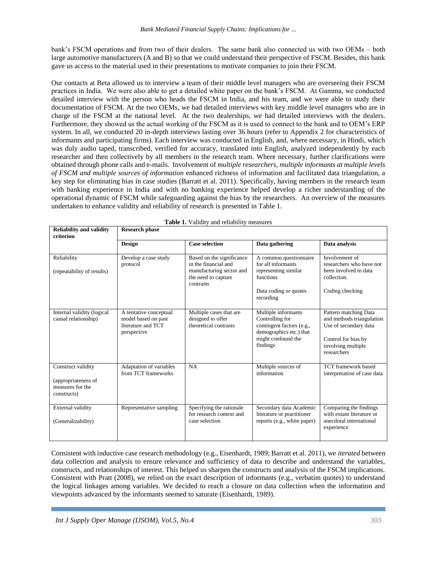bank's FSCM operations and from two of their dealers. The same bank also connected us with two OEMs – both large automotive manufacturers (A and B) so that we could understand their perspective of FSCM. Besides, this bank gave us access to the material used in their presentations to motivate companies to join their FSCM.

Our contacts at Beta allowed us to interview a team of their middle level managers who are overseeing their FSCM practices in India. We were also able to get a detailed white paper on the bank's FSCM. At Gamma, we conducted detailed interview with the person who heads the FSCM in India, and his team, and we were able to study their documentation of FSCM. At the two OEMs, we had detailed interviews with key middle level managers who are in charge of the FSCM at the national level. At the two dealerships, we had detailed interviews with the dealers. Furthermore, they showed us the actual working of the FSCM as it is used to connect to the bank and to OEM's ERP system. In all, we conducted 20 in-depth interviews lasting over 36 hours (refer to Appendix 2 for characteristics of informants and participating firms). Each interview was conducted in English, and, where necessary, in Hindi, which was duly audio taped, transcribed, verified for accuracy, translated into English, analyzed independently by each researcher and then collectively by all members in the research team. Where necessary, further clarifications were obtained through phone calls and e-mails. Involvement of *multiple researchers, multiple informants at multiple levels of FSCM and multiple sources of information* enhanced richness of information and facilitated data triangulation, a key step for eliminating bias in case studies (Barratt et al. 2011). Specifically, having members in the research team with banking experience in India and with no banking experience helped develop a richer understanding of the operational dynamic of FSCM while safeguarding against the bias by the researchers. An overview of the measures undertaken to enhance validity and reliability of research is presented in Table 1.

| <b>Reliability and validity</b><br>criterion                                 | <b>Research phase</b>                                                              |                                                                                                                   |                                                                                                                                  |                                                                                                                                         |  |
|------------------------------------------------------------------------------|------------------------------------------------------------------------------------|-------------------------------------------------------------------------------------------------------------------|----------------------------------------------------------------------------------------------------------------------------------|-----------------------------------------------------------------------------------------------------------------------------------------|--|
|                                                                              | <b>Design</b>                                                                      | <b>Case selection</b>                                                                                             | Data gathering                                                                                                                   | Data analysis                                                                                                                           |  |
| Reliability<br>(repeatability of results)                                    | Develop a case study<br>protocol                                                   | Based on the significance<br>in the financial and<br>manufacturing sector and<br>the need to capture<br>contrasts | A common questionnaire<br>for all informants<br>representing similar<br>functions<br>Data coding or quotes<br>recording          | Involvement of<br>researchers who have not<br>been involved in data<br>collection.<br>Coding checking                                   |  |
| Internal validity (logical<br>causal relationship)                           | A tentative conceptual<br>model based on past<br>literature and TCT<br>perspective | Multiple cases that are<br>designed to offer<br>theoretical contrasts                                             | Multiple informants<br>Controlling for<br>contingent factors (e.g.,<br>demographics etc.) that<br>might confound the<br>findings | Pattern matching Data<br>and methods triangulation<br>Use of secondary data<br>Control for bias by<br>involving multiple<br>researchers |  |
| Construct validity<br>(appropriateness of<br>measures for the<br>constructs) | Adaptation of variables<br>from TCT frameworks                                     | NA                                                                                                                | Multiple sources of<br>information                                                                                               | TCT framework based<br>interpretation of case data                                                                                      |  |
| External validity<br>(Generalizability)                                      | Representative sampling                                                            | Specifying the rationale<br>for research context and<br>case selection                                            | Secondary data Academic<br>literature or practitioner<br>reports (e.g., white paper)                                             | Comparing the findings<br>with extant literature or<br>anecdotal international<br>experience                                            |  |

| <b>Table 1.</b> Validity and reliability measures |  |
|---------------------------------------------------|--|
|---------------------------------------------------|--|

Consistent with inductive case research methodology (e.g., Eisenhardt, 1989; Barratt et al. 2011), we *iterated* between data collection and analysis to ensure relevance and sufficiency of data to describe and understand the variables, constructs, and relationships of interest. This helped us sharpen the constructs and analysis of the FSCM implications. Consistent with Pratt (2008), we relied on the exact description of informants (e.g., verbatim quotes) to understand the logical linkages among variables. We decided to reach a closure on data collection when the information and viewpoints advanced by the informants seemed to saturate (Eisenhardt, 1989).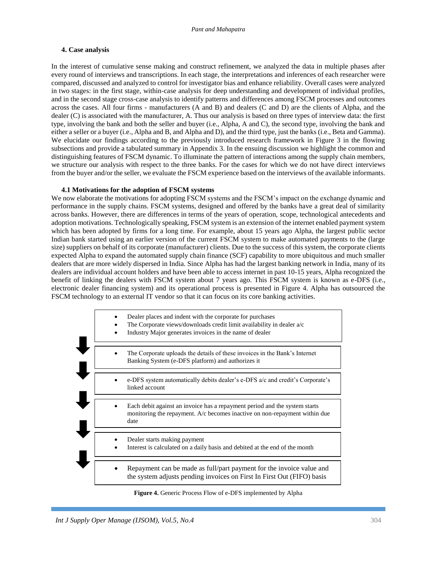## **4. Case analysis**

In the interest of cumulative sense making and construct refinement, we analyzed the data in multiple phases after every round of interviews and transcriptions. In each stage, the interpretations and inferences of each researcher were compared, discussed and analyzed to control for investigator bias and enhance reliability. Overall cases were analyzed in two stages: in the first stage, within-case analysis for deep understanding and development of individual profiles, and in the second stage cross-case analysis to identify patterns and differences among FSCM processes and outcomes across the cases. All four firms - manufacturers (A and B) and dealers (C and D) are the clients of Alpha, and the dealer (C) is associated with the manufacturer, A. Thus our analysis is based on three types of interview data: the first type, involving the bank and both the seller and buyer (i.e., Alpha, A and C), the second type, involving the bank and either a seller or a buyer (i.e., Alpha and B, and Alpha and D), and the third type, just the banks (i.e., Beta and Gamma). We elucidate our findings according to the previously introduced research framework in Figure 3 in the flowing subsections and provide a tabulated summary in Appendix 3. In the ensuing discussion we highlight the common and distinguishing features of FSCM dynamic. To illuminate the pattern of interactions among the supply chain members, we structure our analysis with respect to the three banks. For the cases for which we do not have direct interviews from the buyer and/or the seller, we evaluate the FSCM experience based on the interviews of the available informants.

#### **4.1 Motivations for the adoption of FSCM systems**

We now elaborate the motivations for adopting FSCM systems and the FSCM's impact on the exchange dynamic and performance in the supply chains. FSCM systems, designed and offered by the banks have a great deal of similarity across banks. However, there are differences in terms of the years of operation, scope, technological antecedents and adoption motivations. Technologically speaking, FSCM system is an extension of the internet enabled payment system which has been adopted by firms for a long time. For example, about 15 years ago Alpha, the largest public sector Indian bank started using an earlier version of the current FSCM system to make automated payments to the (large size) suppliers on behalf of its corporate (manufacturer) clients. Due to the success of this system, the corporate clients expected Alpha to expand the automated supply chain finance (SCF) capability to more ubiquitous and much smaller dealers that are more widely dispersed in India. Since Alpha has had the largest banking network in India, many of its dealers are individual account holders and have been able to access internet in past 10-15 years, Alpha recognized the benefit of linking the dealers with FSCM system about 7 years ago. This FSCM system is known as e-DFS (i.e., electronic dealer financing system) and its operational process is presented in Figure 4. Alpha has outsourced the FSCM technology to an external IT vendor so that it can focus on its core banking activities.

| Dealer places and indent with the corporate for purchases<br>The Corporate views/downloads credit limit availability in dealer a/c<br>Industry Major generates invoices in the name of dealer |  |
|-----------------------------------------------------------------------------------------------------------------------------------------------------------------------------------------------|--|
| The Corporate uploads the details of these invoices in the Bank's Internet<br>Banking System (e-DFS platform) and authorizes it                                                               |  |
| e-DFS system automatically debits dealer's e-DFS a/c and credit's Corporate's<br>linked account                                                                                               |  |
| Each debit against an invoice has a repayment period and the system starts<br>monitoring the repayment. A/c becomes inactive on non-repayment within due<br>date                              |  |
| Dealer starts making payment<br>Interest is calculated on a daily basis and debited at the end of the month                                                                                   |  |
| Repayment can be made as full/part payment for the invoice value and<br>the system adjusts pending invoices on First In First Out (FIFO) basis                                                |  |

**Figure 4.** Generic Process Flow of e-DFS implemented by Alpha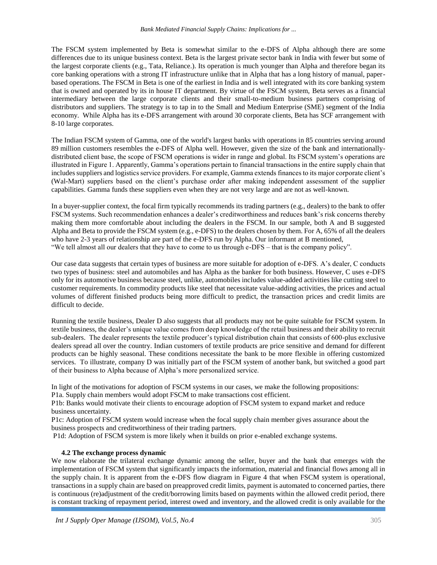#### *Bank Mediated Financial Supply Chains: Implications for ...*

The FSCM system implemented by Beta is somewhat similar to the e-DFS of Alpha although there are some differences due to its unique business context. Beta is the largest private sector bank in India with fewer but some of the largest corporate clients (e.g., Tata, Reliance.). Its operation is much younger than Alpha and therefore began its core banking operations with a strong IT infrastructure unlike that in Alpha that has a long history of manual, paperbased operations. The FSCM in Beta is one of the earliest in India and is well integrated with its core banking system that is owned and operated by its in house IT department. By virtue of the FSCM system, Beta serves as a financial intermediary between the large corporate clients and their small-to-medium business partners comprising of distributors and suppliers. The strategy is to tap in to the Small and Medium Enterprise (SME) segment of the India economy. While Alpha has its e-DFS arrangement with around 30 corporate clients, Beta has SCF arrangement with 8-10 large corporates.

The Indian FSCM system of Gamma, one of the world's largest banks with operations in 85 countries serving around 89 million customers resembles the e-DFS of Alpha well. However, given the size of the bank and internationallydistributed client base, the scope of FSCM operations is wider in range and global. Its FSCM system's operations are illustrated in Figure 1. Apparently, Gamma's operations pertain to financial transactions in the entire supply chain that includes suppliers and logistics service providers. For example, Gamma extends finances to its major corporate client's (Wal-Mart) suppliers based on the client's purchase order after making independent assessment of the supplier capabilities. Gamma funds these suppliers even when they are not very large and are not as well-known.

In a buyer-supplier context, the focal firm typically recommends its trading partners (e.g., dealers) to the bank to offer FSCM systems. Such recommendation enhances a dealer's creditworthiness and reduces bank's risk concerns thereby making them more comfortable about including the dealers in the FSCM. In our sample, both A and B suggested Alpha and Beta to provide the FSCM system (e.g., e-DFS) to the dealers chosen by them. For A, 65% of all the dealers who have 2-3 years of relationship are part of the e-DFS run by Alpha. Our informant at B mentioned, "We tell almost all our dealers that they have to come to us through e-DFS – that is the company policy".

Our case data suggests that certain types of business are more suitable for adoption of e-DFS. A's dealer, C conducts two types of business: steel and automobiles and has Alpha as the banker for both business. However, C uses e-DFS only for its automotive business because steel, unlike, automobiles includes value-added activities like cutting steel to customer requirements. In commodity products like steel that necessitate value-adding activities, the prices and actual volumes of different finished products being more difficult to predict, the transaction prices and credit limits are difficult to decide.

Running the textile business, Dealer D also suggests that all products may not be quite suitable for FSCM system. In textile business, the dealer's unique value comes from deep knowledge of the retail business and their ability to recruit sub-dealers. The dealer represents the textile producer's typical distribution chain that consists of 600-plus exclusive dealers spread all over the country. Indian customers of textile products are price sensitive and demand for different products can be highly seasonal. These conditions necessitate the bank to be more flexible in offering customized services. To illustrate, company D was initially part of the FSCM system of another bank, but switched a good part of their business to Alpha because of Alpha's more personalized service.

In light of the motivations for adoption of FSCM systems in our cases, we make the following propositions:

P1a. Supply chain members would adopt FSCM to make transactions cost efficient.

P1b: Banks would motivate their clients to encourage adoption of FSCM system to expand market and reduce business uncertainty.

P1c: Adoption of FSCM system would increase when the focal supply chain member gives assurance about the business prospects and creditworthiness of their trading partners.

P1d: Adoption of FSCM system is more likely when it builds on prior e-enabled exchange systems.

## **4.2 The exchange process dynamic**

We now elaborate the trilateral exchange dynamic among the seller, buyer and the bank that emerges with the implementation of FSCM system that significantly impacts the information, material and financial flows among all in the supply chain. It is apparent from the e-DFS flow diagram in Figure 4 that when FSCM system is operational, transactions in a supply chain are based on preapproved credit limits, payment is automated to concerned parties, there is continuous (re)adjustment of the credit/borrowing limits based on payments within the allowed credit period, there is constant tracking of repayment period, interest owed and inventory, and the allowed credit is only available for the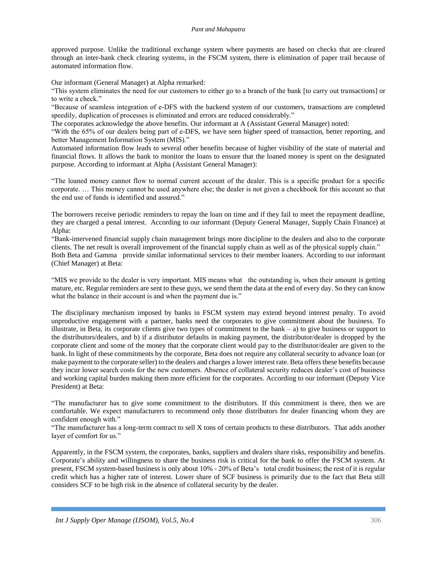approved purpose. Unlike the traditional exchange system where payments are based on checks that are cleared through an inter-bank check clearing systems, in the FSCM system, there is elimination of paper trail because of automated information flow.

Our informant (General Manager) at Alpha remarked:

"This system eliminates the need for our customers to either go to a branch of the bank [to carry out transactions] or to write a check."

"Because of seamless integration of e-DFS with the backend system of our customers, transactions are completed speedily, duplication of processes is eliminated and errors are reduced considerably."

The corporates acknowledge the above benefits. Our informant at A (Assistant General Manager) noted:

"With the 65% of our dealers being part of e-DFS, we have seen higher speed of transaction, better reporting, and better Management Information System (MIS)."

Automated information flow leads to several other benefits because of higher visibility of the state of material and financial flows. It allows the bank to monitor the loans to ensure that the loaned money is spent on the designated purpose. According to informant at Alpha (Assistant General Manager):

"The loaned money cannot flow to normal current account of the dealer. This is a specific product for a specific corporate. … This money cannot be used anywhere else; the dealer is not given a checkbook for this account so that the end use of funds is identified and assured."

The borrowers receive periodic reminders to repay the loan on time and if they fail to meet the repayment deadline, they are charged a penal interest. According to our informant (Deputy General Manager, Supply Chain Finance) at Alpha:

"Bank-intervened financial supply chain management brings more discipline to the dealers and also to the corporate clients. The net result is overall improvement of the financial supply chain as well as of the physical supply chain." Both Beta and Gamma provide similar informational services to their member loaners. According to our informant (Chief Manager) at Beta:

"MIS we provide to the dealer is very important. MIS means what the outstanding is, when their amount is getting mature, etc. Regular reminders are sent to these guys, we send them the data at the end of every day. So they can know what the balance in their account is and when the payment due is."

The disciplinary mechanism imposed by banks in FSCM system may extend beyond interest penalty. To avoid unproductive engagement with a partner, banks need the corporates to give commitment about the business. To illustrate, in Beta, its corporate clients give two types of commitment to the bank – a) to give business or support to the distributors/dealers, and b) if a distributor defaults in making payment, the distributor/dealer is dropped by the corporate client and some of the money that the corporate client would pay to the distributor/dealer are given to the bank. In light of these commitments by the corporate, Beta does not require any collateral security to advance loan (or make payment to the corporate seller) to the dealers and charges a lower interest rate. Beta offers these benefits because they incur lower search costs for the new customers. Absence of collateral security reduces dealer's cost of business and working capital burden making them more efficient for the corporates. According to our informant (Deputy Vice President) at Beta:

"The manufacturer has to give some commitment to the distributors. If this commitment is there, then we are comfortable. We expect manufacturers to recommend only those distributors for dealer financing whom they are confident enough with."

"The manufacturer has a long-term contract to sell X tons of certain products to these distributors. That adds another layer of comfort for us."

Apparently, in the FSCM system, the corporates, banks, suppliers and dealers share risks, responsibility and benefits. Corporate's ability and willingness to share the business risk is critical for the bank to offer the FSCM system. At present, FSCM system-based business is only about 10% - 20% of Beta's total credit business; the rest of it is regular credit which has a higher rate of interest. Lower share of SCF business is primarily due to the fact that Beta still considers SCF to be high risk in the absence of collateral security by the dealer.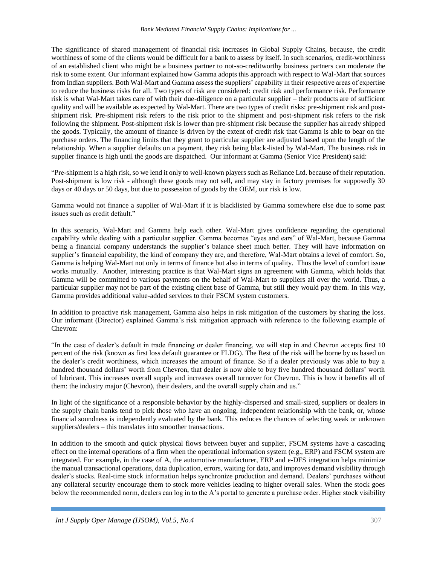The significance of shared management of financial risk increases in Global Supply Chains, because, the credit worthiness of some of the clients would be difficult for a bank to assess by itself. In such scenarios, credit-worthiness of an established client who might be a business partner to not-so-creditworthy business partners can moderate the risk to some extent. Our informant explained how Gamma adopts this approach with respect to Wal-Mart that sources from Indian suppliers. Both Wal-Mart and Gamma assess the suppliers' capability in their respective areas of expertise to reduce the business risks for all. Two types of risk are considered: credit risk and performance risk. Performance risk is what Wal-Mart takes care of with their due-diligence on a particular supplier – their products are of sufficient quality and will be available as expected by Wal-Mart. There are two types of credit risks: pre-shipment risk and postshipment risk. Pre-shipment risk refers to the risk prior to the shipment and post-shipment risk refers to the risk following the shipment. Post-shipment risk is lower than pre-shipment risk because the supplier has already shipped the goods. Typically, the amount of finance is driven by the extent of credit risk that Gamma is able to bear on the purchase orders. The financing limits that they grant to particular supplier are adjusted based upon the length of the relationship. When a supplier defaults on a payment, they risk being black-listed by Wal-Mart. The business risk in supplier finance is high until the goods are dispatched. Our informant at Gamma (Senior Vice President) said:

"Pre-shipment is a high risk, so we lend it only to well-known players such as Reliance Ltd. because of their reputation. Post-shipment is low risk - although these goods may not sell, and may stay in factory premises for supposedly 30 days or 40 days or 50 days, but due to possession of goods by the OEM, our risk is low.

Gamma would not finance a supplier of Wal-Mart if it is blacklisted by Gamma somewhere else due to some past issues such as credit default."

In this scenario, Wal-Mart and Gamma help each other. Wal-Mart gives confidence regarding the operational capability while dealing with a particular supplier. Gamma becomes "eyes and ears" of Wal-Mart, because Gamma being a financial company understands the supplier's balance sheet much better. They will have information on supplier's financial capability, the kind of company they are, and therefore, Wal-Mart obtains a level of comfort. So, Gamma is helping Wal-Mart not only in terms of finance but also in terms of quality. Thus the level of comfort issue works mutually. Another, interesting practice is that Wal-Mart signs an agreement with Gamma, which holds that Gamma will be committed to various payments on the behalf of Wal-Mart to suppliers all over the world. Thus, a particular supplier may not be part of the existing client base of Gamma, but still they would pay them. In this way, Gamma provides additional value-added services to their FSCM system customers.

In addition to proactive risk management, Gamma also helps in risk mitigation of the customers by sharing the loss. Our informant (Director) explained Gamma's risk mitigation approach with reference to the following example of Chevron:

"In the case of dealer's default in trade financing or dealer financing, we will step in and Chevron accepts first 10 percent of the risk (known as first loss default guarantee or FLDG). The Rest of the risk will be borne by us based on the dealer's credit worthiness, which increases the amount of finance. So if a dealer previously was able to buy a hundred thousand dollars' worth from Chevron, that dealer is now able to buy five hundred thousand dollars' worth of lubricant. This increases overall supply and increases overall turnover for Chevron. This is how it benefits all of them: the industry major (Chevron), their dealers, and the overall supply chain and us."

In light of the significance of a responsible behavior by the highly-dispersed and small-sized, suppliers or dealers in the supply chain banks tend to pick those who have an ongoing, independent relationship with the bank, or, whose financial soundness is independently evaluated by the bank. This reduces the chances of selecting weak or unknown suppliers/dealers – this translates into smoother transactions.

In addition to the smooth and quick physical flows between buyer and supplier, FSCM systems have a cascading effect on the internal operations of a firm when the operational information system (e.g., ERP) and FSCM system are integrated. For example, in the case of A, the automotive manufacturer, ERP and e-DFS integration helps minimize the manual transactional operations, data duplication, errors, waiting for data, and improves demand visibility through dealer's stocks. Real-time stock information helps synchronize production and demand. Dealers' purchases without any collateral security encourage them to stock more vehicles leading to higher overall sales. When the stock goes below the recommended norm, dealers can log in to the A's portal to generate a purchase order. Higher stock visibility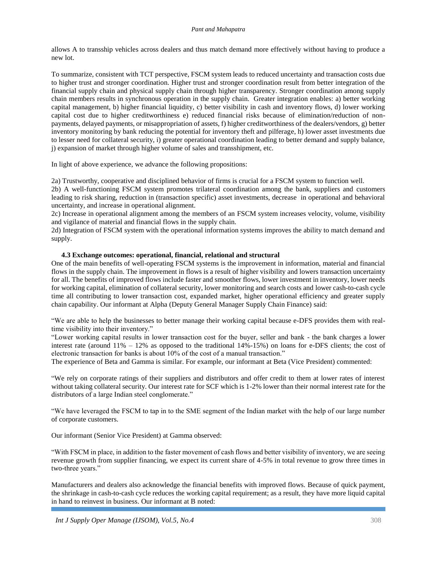#### *Pant and Mahapatra*

allows A to transship vehicles across dealers and thus match demand more effectively without having to produce a new lot.

To summarize, consistent with TCT perspective, FSCM system leads to reduced uncertainty and transaction costs due to higher trust and stronger coordination. Higher trust and stronger coordination result from better integration of the financial supply chain and physical supply chain through higher transparency. Stronger coordination among supply chain members results in synchronous operation in the supply chain. Greater integration enables: a) better working capital management, b) higher financial liquidity, c) better visibility in cash and inventory flows, d) lower working capital cost due to higher creditworthiness e) reduced financial risks because of elimination/reduction of nonpayments, delayed payments, or misappropriation of assets, f) higher creditworthiness of the dealers/vendors, g) better inventory monitoring by bank reducing the potential for inventory theft and pilferage, h) lower asset investments due to lesser need for collateral security, i) greater operational coordination leading to better demand and supply balance, j) expansion of market through higher volume of sales and transshipment, etc.

In light of above experience, we advance the following propositions:

2a) Trustworthy, cooperative and disciplined behavior of firms is crucial for a FSCM system to function well.

2b) A well-functioning FSCM system promotes trilateral coordination among the bank, suppliers and customers leading to risk sharing, reduction in (transaction specific) asset investments, decrease in operational and behavioral uncertainty, and increase in operational alignment.

2c) Increase in operational alignment among the members of an FSCM system increases velocity, volume, visibility and vigilance of material and financial flows in the supply chain.

2d) Integration of FSCM system with the operational information systems improves the ability to match demand and supply.

## **4.3 Exchange outcomes: operational, financial, relational and structural**

One of the main benefits of well-operating FSCM systems is the improvement in information, material and financial flows in the supply chain. The improvement in flows is a result of higher visibility and lowers transaction uncertainty for all. The benefits of improved flows include faster and smoother flows, lower investment in inventory, lower needs for working capital, elimination of collateral security, lower monitoring and search costs and lower cash-to-cash cycle time all contributing to lower transaction cost, expanded market, higher operational efficiency and greater supply chain capability. Our informant at Alpha (Deputy General Manager Supply Chain Finance) said:

"We are able to help the businesses to better manage their working capital because e-DFS provides them with realtime visibility into their inventory."

"Lower working capital results in lower transaction cost for the buyer, seller and bank - the bank charges a lower interest rate (around 11% – 12% as opposed to the traditional 14%-15%) on loans for e-DFS clients; the cost of electronic transaction for banks is about 10% of the cost of a manual transaction."

The experience of Beta and Gamma is similar. For example, our informant at Beta (Vice President) commented:

"We rely on corporate ratings of their suppliers and distributors and offer credit to them at lower rates of interest without taking collateral security. Our interest rate for SCF which is 1-2% lower than their normal interest rate for the distributors of a large Indian steel conglomerate."

"We have leveraged the FSCM to tap in to the SME segment of the Indian market with the help of our large number of corporate customers.

Our informant (Senior Vice President) at Gamma observed:

"With FSCM in place, in addition to the faster movement of cash flows and better visibility of inventory, we are seeing revenue growth from supplier financing, we expect its current share of 4-5% in total revenue to grow three times in two-three years."

Manufacturers and dealers also acknowledge the financial benefits with improved flows. Because of quick payment, the shrinkage in cash-to-cash cycle reduces the working capital requirement; as a result, they have more liquid capital in hand to reinvest in business. Our informant at B noted: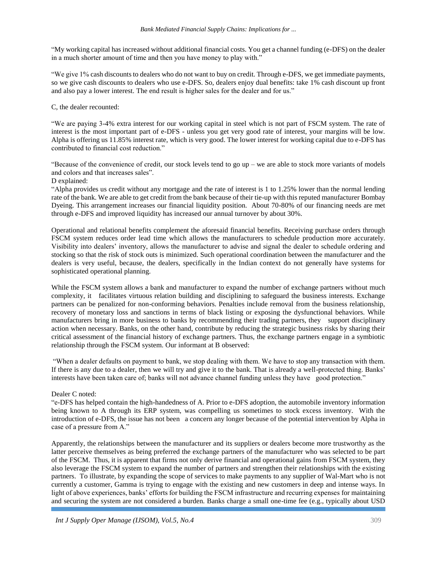"My working capital has increased without additional financial costs. You get a channel funding (e-DFS) on the dealer in a much shorter amount of time and then you have money to play with."

"We give 1% cash discounts to dealers who do not want to buy on credit. Through e-DFS, we get immediate payments, so we give cash discounts to dealers who use e-DFS. So, dealers enjoy dual benefits: take 1% cash discount up front and also pay a lower interest. The end result is higher sales for the dealer and for us."

## C, the dealer recounted:

"We are paying 3-4% extra interest for our working capital in steel which is not part of FSCM system. The rate of interest is the most important part of e-DFS - unless you get very good rate of interest, your margins will be low. Alpha is offering us 11.85% interest rate, which is very good. The lower interest for working capital due to e-DFS has contributed to financial cost reduction."

"Because of the convenience of credit, our stock levels tend to go up – we are able to stock more variants of models and colors and that increases sales".

## D explained:

"Alpha provides us credit without any mortgage and the rate of interest is 1 to 1.25% lower than the normal lending rate of the bank. We are able to get credit from the bank because of their tie-up with this reputed manufacturer Bombay Dyeing. This arrangement increases our financial liquidity position. About 70-80% of our financing needs are met through e-DFS and improved liquidity has increased our annual turnover by about 30%.

Operational and relational benefits complement the aforesaid financial benefits. Receiving purchase orders through FSCM system reduces order lead time which allows the manufacturers to schedule production more accurately. Visibility into dealers' inventory, allows the manufacturer to advise and signal the dealer to schedule ordering and stocking so that the risk of stock outs is minimized. Such operational coordination between the manufacturer and the dealers is very useful, because, the dealers, specifically in the Indian context do not generally have systems for sophisticated operational planning.

While the FSCM system allows a bank and manufacturer to expand the number of exchange partners without much complexity, it facilitates virtuous relation building and disciplining to safeguard the business interests. Exchange partners can be penalized for non-conforming behaviors. Penalties include removal from the business relationship, recovery of monetary loss and sanctions in terms of black listing or exposing the dysfunctional behaviors. While manufacturers bring in more business to banks by recommending their trading partners, they support disciplinary action when necessary. Banks, on the other hand, contribute by reducing the strategic business risks by sharing their critical assessment of the financial history of exchange partners. Thus, the exchange partners engage in a symbiotic relationship through the FSCM system. Our informant at B observed:

"When a dealer defaults on payment to bank, we stop dealing with them. We have to stop any transaction with them. If there is any due to a dealer, then we will try and give it to the bank. That is already a well-protected thing. Banks' interests have been taken care of; banks will not advance channel funding unless they have good protection."

## Dealer C noted:

"e-DFS has helped contain the high-handedness of A. Prior to e-DFS adoption, the automobile inventory information being known to A through its ERP system, was compelling us sometimes to stock excess inventory. With the introduction of e-DFS, the issue has not been a concern any longer because of the potential intervention by Alpha in case of a pressure from A."

Apparently, the relationships between the manufacturer and its suppliers or dealers become more trustworthy as the latter perceive themselves as being preferred the exchange partners of the manufacturer who was selected to be part of the FSCM. Thus, it is apparent that firms not only derive financial and operational gains from FSCM system, they also leverage the FSCM system to expand the number of partners and strengthen their relationships with the existing partners. To illustrate, by expanding the scope of services to make payments to any supplier of Wal-Mart who is not currently a customer, Gamma is trying to engage with the existing and new customers in deep and intense ways. In light of above experiences, banks' efforts for building the FSCM infrastructure and recurring expenses for maintaining and securing the system are not considered a burden. Banks charge a small one-time fee (e.g., typically about USD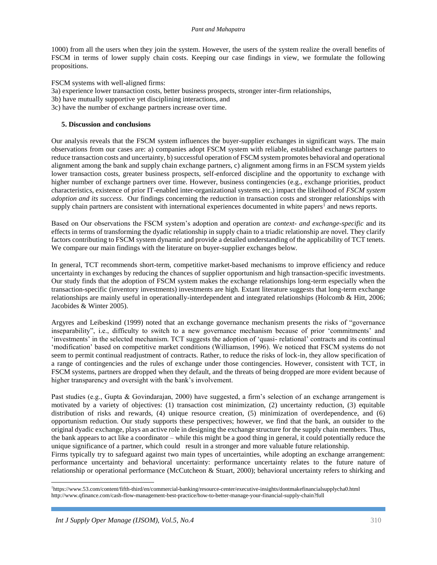1000) from all the users when they join the system. However, the users of the system realize the overall benefits of FSCM in terms of lower supply chain costs. Keeping our case findings in view, we formulate the following propositions.

FSCM systems with well-aligned firms:

- 3a) experience lower transaction costs, better business prospects, stronger inter-firm relationships,
- 3b) have mutually supportive yet disciplining interactions, and
- 3c) have the number of exchange partners increase over time.

## **5. Discussion and conclusions**

Our analysis reveals that the FSCM system influences the buyer-supplier exchanges in significant ways. The main observations from our cases are: a) companies adopt FSCM system with reliable, established exchange partners to reduce transaction costs and uncertainty, b) successful operation of FSCM system promotes behavioral and operational alignment among the bank and supply chain exchange partners, c) alignment among firms in an FSCM system yields lower transaction costs, greater business prospects, self-enforced discipline and the opportunity to exchange with higher number of exchange partners over time. However, business contingencies (e.g., exchange priorities, product characteristics, existence of prior IT-enabled inter-organizational systems etc.) impact the likelihood of *FSCM system adoption and its success*. Our findings concerning the reduction in transaction costs and stronger relationships with supply chain partners are consistent with international experiences documented in white papers<sup>1</sup> and news reports.

Based on Our observations the FSCM system's adoption and operation are *context- and exchange-specific* and its effects in terms of transforming the dyadic relationship in supply chain to a triadic relationship are novel. They clarify factors contributing to FSCM system dynamic and provide a detailed understanding of the applicability of TCT tenets. We compare our main findings with the literature on buyer-supplier exchanges below.

In general, TCT recommends short-term, competitive market-based mechanisms to improve efficiency and reduce uncertainty in exchanges by reducing the chances of supplier opportunism and high transaction-specific investments. Our study finds that the adoption of FSCM system makes the exchange relationships long-term especially when the transaction-specific (inventory investments) investments are high. Extant literature suggests that long-term exchange relationships are mainly useful in operationally-interdependent and integrated relationships (Holcomb & Hitt, 2006; Jacobides & Winter 2005).

Argyres and Leibeskind (1999) noted that an exchange governance mechanism presents the risks of "governance inseparability", i.e., difficulty to switch to a new governance mechanism because of prior 'commitments' and 'investments' in the selected mechanism. TCT suggests the adoption of 'quasi- relational' contracts and its continual 'modification' based on competitive market conditions (Williamson, 1996). We noticed that FSCM systems do not seem to permit continual readjustment of contracts. Rather, to reduce the risks of lock-in, they allow specification of a range of contingencies and the rules of exchange under those contingencies. However, consistent with TCT, in FSCM systems, partners are dropped when they default, and the threats of being dropped are more evident because of higher transparency and oversight with the bank's involvement.

Past studies (e.g., Gupta & Govindarajan, 2000) have suggested, a firm's selection of an exchange arrangement is motivated by a variety of objectives: (1) transaction cost minimization, (2) uncertainty reduction, (3) equitable distribution of risks and rewards, (4) unique resource creation, (5) minimization of overdependence, and (6) opportunism reduction. Our study supports these perspectives; however, we find that the bank, an outsider to the original dyadic exchange, plays an active role in designing the exchange structure for the supply chain members. Thus, the bank appears to act like a coordinator – while this might be a good thing in general, it could potentially reduce the unique significance of a partner, which could result in a stronger and more valuable future relationship.

Firms typically try to safeguard against two main types of uncertainties, while adopting an exchange arrangement: performance uncertainty and behavioral uncertainty: performance uncertainty relates to the future nature of relationship or operational performance (McCutcheon & Stuart, 2000); behavioral uncertainty refers to shirking and

<sup>1</sup>https://www.53.com/content/fifth-third/en/commercial-banking/resource-center/executive-insights/dontmakefinancialsupplycha0.html http://www.qfinance.com/cash-flow-management-best-practice/how-to-better-manage-your-financial-supply-chain?full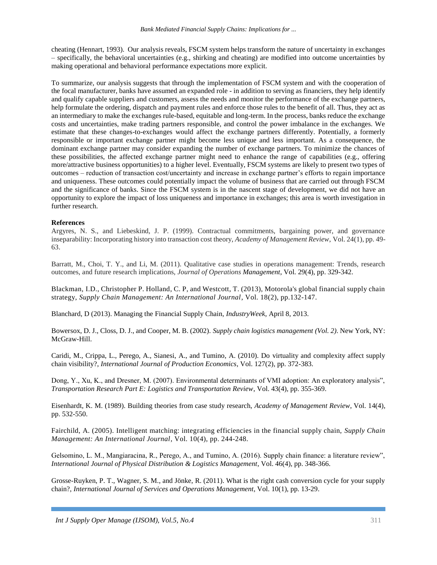cheating (Hennart, 1993). Our analysis reveals, FSCM system helps transform the nature of uncertainty in exchanges – specifically, the behavioral uncertainties (e.g., shirking and cheating) are modified into outcome uncertainties by making operational and behavioral performance expectations more explicit.

To summarize, our analysis suggests that through the implementation of FSCM system and with the cooperation of the focal manufacturer, banks have assumed an expanded role - in addition to serving as financiers, they help identify and qualify capable suppliers and customers, assess the needs and monitor the performance of the exchange partners, help formulate the ordering, dispatch and payment rules and enforce those rules to the benefit of all. Thus, they act as an intermediary to make the exchanges rule-based, equitable and long-term. In the process, banks reduce the exchange costs and uncertainties, make trading partners responsible, and control the power imbalance in the exchanges. We estimate that these changes-to-exchanges would affect the exchange partners differently. Potentially, a formerly responsible or important exchange partner might become less unique and less important. As a consequence, the dominant exchange partner may consider expanding the number of exchange partners. To minimize the chances of these possibilities, the affected exchange partner might need to enhance the range of capabilities (e.g., offering more/attractive business opportunities) to a higher level. Eventually, FSCM systems are likely to present two types of outcomes – reduction of transaction cost/uncertainty and increase in exchange partner's efforts to regain importance and uniqueness. These outcomes could potentially impact the volume of business that are carried out through FSCM and the significance of banks. Since the FSCM system is in the nascent stage of development, we did not have an opportunity to explore the impact of loss uniqueness and importance in exchanges; this area is worth investigation in further research.

## **References**

Argyres, N. S., and Liebeskind, J. P. (1999). Contractual commitments, bargaining power, and governance inseparability: Incorporating history into transaction cost theory, *Academy of Management Review*, Vol. 24(1), pp. 49- 63.

Barratt, M., Choi, T. Y., and Li, M. (2011). Qualitative case studies in operations management: Trends, research outcomes, and future research implications, *Journal of Operations Management*, Vol. 29(4), pp. 329-342.

[Blackman,](http://www.emeraldinsight.com/author/Blackman%2C+Ian+D) I.D.[, Christopher P. Holland,](http://www.emeraldinsight.com/author/Holland%2C+Christopher+P) C. P, an[d Westcott,](http://www.emeraldinsight.com/author/Westcott%2C+Timothy) T. (2013), Motorola's global financial supply chain strategy, *Supply Chain Management: An International Journal*, Vol. 18(2), pp.132-147.

Blanchard, D (2013). Managing the Financial Supply Chain, *IndustryWeek*, April 8, 2013.

Bowersox, D. J., Closs, D. J., and Cooper, M. B. (2002). *Supply chain logistics management (Vol. 2)*. New York, NY: McGraw-Hill.

Caridi, M., Crippa, L., Perego, A., Sianesi, A., and Tumino, A. (2010). Do virtuality and complexity affect supply chain visibility?, *International Journal of Production Economics*, Vol. 127(2), pp. 372-383.

Dong, Y., Xu, K., and Dresner, M. (2007). Environmental determinants of VMI adoption: An exploratory analysis", *Transportation Research Part E: Logistics and Transportation Review*, Vol. 43(4), pp. 355-369.

Eisenhardt, K. M. (1989). Building theories from case study research, *Academy of Management Review*, Vol. 14(4), pp. 532-550.

Fairchild, A. (2005). Intelligent matching: integrating efficiencies in the financial supply chain, *Supply Chain Management: An International Journal*, Vol. 10(4), pp. 244-248.

Gelsomino, L. M., Mangiaracina, R., Perego, A., and Tumino, A. (2016). Supply chain finance: a literature review", *International Journal of Physical Distribution & Logistics Management*, Vol. 46(4), pp. 348-366.

Grosse-Ruyken, P. T., Wagner, S. M., and Jönke, R. (2011). What is the right cash conversion cycle for your supply chain?, *International Journal of Services and Operations Management*, Vol. 10(1), pp. 13-29.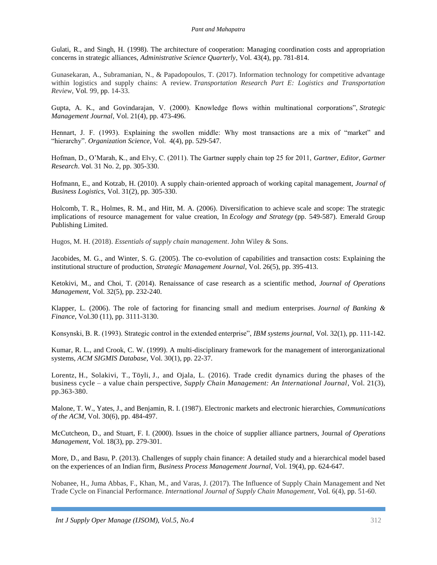Gulati, R., and Singh, H. (1998). The architecture of cooperation: Managing coordination costs and appropriation concerns in strategic alliances, *Administrative Science Quarterly*, Vol. 43(4), pp. 781-814.

Gunasekaran, A., Subramanian, N., & Papadopoulos, T. (2017). Information technology for competitive advantage within logistics and supply chains: A review. *Transportation Research Part E: Logistics and Transportation Review*, Vol*.* 99, pp. 14-33.

Gupta, A. K., and Govindarajan, V. (2000). Knowledge flows within multinational corporations", *Strategic Management Journal*, Vol. 21(4), pp. 473-496.

Hennart, J. F. (1993). Explaining the swollen middle: Why most transactions are a mix of "market" and "hierarchy". *Organization Science*, Vol. 4(4), pp. 529-547.

Hofman, D., O'Marah, K., and Elvy, C. (2011). The Gartner supply chain top 25 for 2011, *Gartner, Editor, Gartner Research*. Vol. 31 No. 2, pp. 305-330.

Hofmann, E., and Kotzab, H. (2010). A supply chain‐oriented approach of working capital management, *Journal of Business Logistics*, Vol. 31(2), pp. 305-330.

Holcomb, T. R., Holmes, R. M., and Hitt, M. A. (2006). Diversification to achieve scale and scope: The strategic implications of resource management for value creation, In *Ecology and Strategy* (pp. 549-587). Emerald Group Publishing Limited.

Hugos, M. H. (2018). *Essentials of supply chain management*. John Wiley & Sons.

Jacobides, M. G., and Winter, S. G. (2005). The co-evolution of capabilities and transaction costs: Explaining the institutional structure of production, *Strategic Management Journal*, Vol. 26(5), pp. 395-413.

Ketokivi, M., and Choi, T. (2014). Renaissance of case research as a scientific method, *Journal of Operations Management*, Vol. 32(5), pp. 232-240.

Klapper, L. (2006). The role of factoring for financing small and medium enterprises. *Journal of Banking & Finance*, Vol.30 (11), pp. 3111-3130.

Konsynski, B. R. (1993). Strategic control in the extended enterprise", *IBM systems journal*, Vol. 32(1), pp. 111-142.

Kumar, R. L., and Crook, C. W. (1999). A multi-disciplinary framework for the management of interorganizational systems, *ACM SIGMIS Database*, Vol. 30(1), pp. 22-37.

[Lorentz,](http://www.emeraldinsight.com/author/Lorentz%2C+Harri) H., [Solakivi,](http://www.emeraldinsight.com/author/Solakivi%2C+Tomi) T., [Töyli,](http://www.emeraldinsight.com/author/T%C3%B6yli%2C+Juuso) J., and [Ojala,](http://www.emeraldinsight.com/author/Ojala%2C+Lauri) L. (2016). Trade credit dynamics during the phases of the business cycle – a value chain perspective, *Supply Chain Management: An International Journal*, Vol. 21(3), pp.363-380.

Malone, T. W., Yates, J., and Benjamin, R. I. (1987). Electronic markets and electronic hierarchies, *Communications of the ACM*, Vol. 30(6), pp. 484-497.

McCutcheon, D., and Stuart, F. I. (2000). Issues in the choice of supplier alliance partners, Journal *of Operations Management*, Vol. 18(3), pp. 279-301.

More, D., and Basu, P. (2013). Challenges of supply chain finance: A detailed study and a hierarchical model based on the experiences of an Indian firm, *Business Process Management Journal*, Vol. 19(4), pp. 624-647.

Nobanee, H., Juma Abbas, F., Khan, M., and Varas, J. (2017). The Influence of Supply Chain Management and Net Trade Cycle on Financial Performance. *International Journal of Supply Chain Management*, Vol. 6(4), pp. 51-60.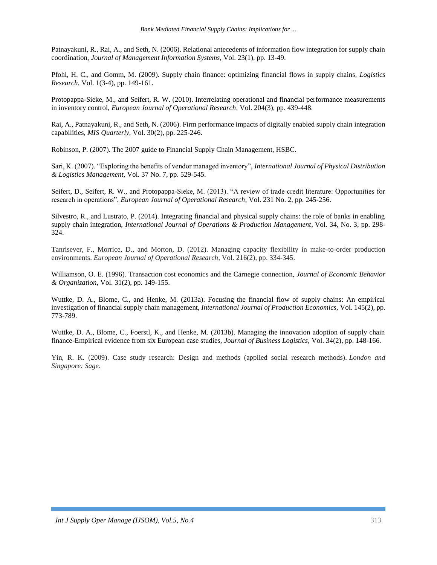Patnayakuni, R., Rai, A., and Seth, N. (2006). Relational antecedents of information flow integration for supply chain coordination, *Journal of Management Information Systems*, Vol. 23(1), pp. 13-49.

Pfohl, H. C., and Gomm, M. (2009). Supply chain finance: optimizing financial flows in supply chains, *Logistics Research*, Vol. 1(3-4), pp. 149-161.

Protopappa-Sieke, M., and Seifert, R. W. (2010). Interrelating operational and financial performance measurements in inventory control, *European Journal of Operational Research*, Vol. 204(3), pp. 439-448.

Rai, A., Patnayakuni, R., and Seth, N. (2006). Firm performance impacts of digitally enabled supply chain integration capabilities, *MIS Quarterly*, Vol. 30(2), pp. 225-246.

Robinson, P. (2007). The 2007 guide to Financial Supply Chain Management, HSBC.

Sari, K. (2007). "Exploring the benefits of vendor managed inventory", *International Journal of Physical Distribution & Logistics Management*, Vol. 37 No. 7, pp. 529-545.

Seifert, D., Seifert, R. W., and Protopappa-Sieke, M. (2013). "A review of trade credit literature: Opportunities for research in operations", *European Journal of Operational Research*, Vol. 231 No. 2, pp. 245-256.

Silvestro, R., and Lustrato, P. (2014). Integrating financial and physical supply chains: the role of banks in enabling supply chain integration, *International Journal of Operations & Production Management*, Vol. 34, No. 3, pp. 298- 324.

Tanrisever, F., Morrice, D., and Morton, D. (2012). Managing capacity flexibility in make-to-order production environments. *European Journal of Operational Research*, Vol. 216(2), pp. 334-345.

Williamson, O. E. (1996). Transaction cost economics and the Carnegie connection, *Journal of Economic Behavior & Organization*, Vol. 31(2), pp. 149-155.

Wuttke, D. A., Blome, C., and Henke, M. (2013a). Focusing the financial flow of supply chains: An empirical investigation of financial supply chain management, *International Journal of Production Economics*, Vol. 145(2), pp. 773-789.

Wuttke, D. A., Blome, C., Foerstl, K., and Henke, M. (2013b). Managing the innovation adoption of supply chain finance-Empirical evidence from six European case studies, *Journal of Business Logistics*, Vol. 34(2), pp. 148-166.

Yin, R. K. (2009). Case study research: Design and methods (applied social research methods). *London and Singapore: Sage*.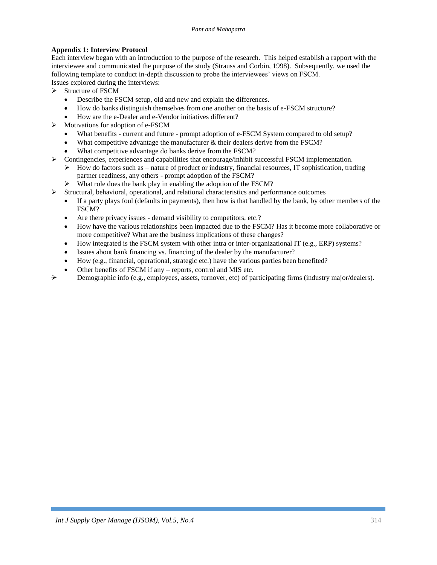## **Appendix 1: Interview Protocol**

Each interview began with an introduction to the purpose of the research. This helped establish a rapport with the interviewee and communicated the purpose of the study (Strauss and Corbin, 1998). Subsequently, we used the following template to conduct in-depth discussion to probe the interviewees' views on FSCM. Issues explored during the interviews:

 $\triangleright$  Structure of FSCM

- Describe the FSCM setup, old and new and explain the differences.
- How do banks distinguish themselves from one another on the basis of e-FSCM structure?
- How are the e-Dealer and e-Vendor initiatives different?
- > Motivations for adoption of e-FSCM
	- What benefits current and future prompt adoption of e-FSCM System compared to old setup?
	- What competitive advantage the manufacturer & their dealers derive from the FSCM?
	- What competitive advantage do banks derive from the FSCM?
- $\triangleright$  Contingencies, experiences and capabilities that encourage/inhibit successful FSCM implementation.
	- $\triangleright$  How do factors such as nature of product or industry, financial resources, IT sophistication, trading partner readiness, any others - prompt adoption of the FSCM?
	- What role does the bank play in enabling the adoption of the FSCM?
- $\triangleright$  Structural, behavioral, operational, and relational characteristics and performance outcomes
	- If a party plays foul (defaults in payments), then how is that handled by the bank, by other members of the FSCM?
	- Are there privacy issues demand visibility to competitors, etc.?
	- How have the various relationships been impacted due to the FSCM? Has it become more collaborative or more competitive? What are the business implications of these changes?
	- How integrated is the FSCM system with other intra or inter-organizational IT (e.g., ERP) systems?
	- Issues about bank financing vs. financing of the dealer by the manufacturer?
	- How (e.g., financial, operational, strategic etc.) have the various parties been benefited?
	- Other benefits of FSCM if any reports, control and MIS etc.
	- Demographic info (e.g., employees, assets, turnover, etc) of participating firms (industry major/dealers).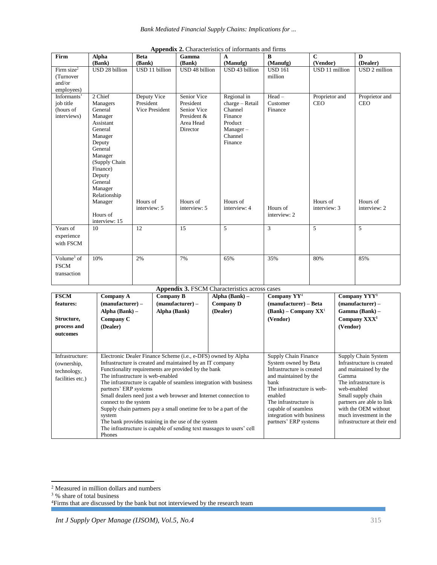| Firm          | <b>Alpha</b><br>(Bank) | <b>Beta</b><br>(Bank) | Gamma<br>(Bank)   | $\mathbf{A}$<br>(Manufg) | $\bf{B}$<br>(Manufg) | $\mathbf C$<br>(Vendor) | D<br>(Dealer)  |
|---------------|------------------------|-----------------------|-------------------|--------------------------|----------------------|-------------------------|----------------|
|               |                        |                       |                   |                          |                      |                         |                |
| Firm $size2$  | USD 28 billion         | USD 11 billion        | USD 48 billion    | USD 43 billion           | <b>USD 161</b>       | USD 11 million          | USD 2 million  |
| (Turnover     |                        |                       |                   |                          | million              |                         |                |
| and/or        |                        |                       |                   |                          |                      |                         |                |
| employees)    |                        |                       |                   |                          |                      |                         |                |
| Informants'   | 2 Chief                | Deputy Vice           | Senior Vice       | Regional in              | $Head -$             | Proprietor and          | Proprietor and |
| job title     | Managers               | President             | President         | charge - Retail          | Customer             | <b>CEO</b>              | <b>CEO</b>     |
| (hours of     | General                | Vice President        | Senior Vice       | Channel                  | Finance              |                         |                |
| interviews)   | Manager                |                       | President &       | Finance                  |                      |                         |                |
|               | Assistant              |                       | Area Head         | Product                  |                      |                         |                |
|               | General                |                       | Director          | $Manager -$              |                      |                         |                |
|               | Manager                |                       |                   | Channel                  |                      |                         |                |
|               | Deputy                 |                       |                   | Finance                  |                      |                         |                |
|               | General                |                       |                   |                          |                      |                         |                |
|               | Manager                |                       |                   |                          |                      |                         |                |
|               | (Supply Chain          |                       |                   |                          |                      |                         |                |
|               | Finance)               |                       |                   |                          |                      |                         |                |
|               | Deputy                 |                       |                   |                          |                      |                         |                |
|               | General                |                       |                   |                          |                      |                         |                |
|               | Manager                |                       |                   |                          |                      |                         |                |
|               | Relationship           |                       |                   |                          |                      |                         |                |
|               | Manager                | Hours of              | Hours of          | Hours of                 |                      | Hours of                | Hours of       |
|               |                        | interview: 5          | interview: 5      | interview: 4             | Hours of             | interview: 3            | interview: 2   |
|               | Hours of               |                       |                   |                          | interview: 2         |                         |                |
|               | interview: 15          |                       |                   |                          |                      |                         |                |
| Years of      | 10                     | 12                    | 15                | 5                        | 3                    | 5                       | 5              |
|               |                        |                       |                   |                          |                      |                         |                |
| experience    |                        |                       |                   |                          |                      |                         |                |
| with FSCM     |                        |                       |                   |                          |                      |                         |                |
|               |                        |                       |                   |                          |                      |                         |                |
| Volume $3$ of | 10%                    | 2%                    | 7%                | 65%                      | 35%                  | 80%                     | 85%            |
| <b>FSCM</b>   |                        |                       |                   |                          |                      |                         |                |
|               |                        |                       |                   |                          |                      |                         |                |
| transaction   |                        |                       |                   |                          |                      |                         |                |
|               |                        |                       | $\sim$ models and |                          |                      |                         |                |

|  | Appendix 2. Characteristics of informants and firms |  |  |
|--|-----------------------------------------------------|--|--|
|--|-----------------------------------------------------|--|--|

**Appendix 3.** FSCM Characteristics across cases **FSCM features: Structure, process and outcomes Company A (manufacturer) – Alpha (Bank) – Company C (Dealer) Company B (manufacturer) – Alpha (Bank) Alpha (Bank) – Company D (Dealer) Company YY**<sup>4</sup> **(manufacturer) – Beta (Bank) – Company XX**<sup>1</sup> **(Vendor) Company YYY<sup>1</sup> (manufacturer) – Gamma (Bank) – Company XXX<sup>1</sup> (Vendor)** Infrastructure: (ownership, technology, facilities etc.) Electronic Dealer Finance Scheme (i.e., e-DFS) owned by Alpha Infrastructure is created and maintained by an IT company Functionality requirements are provided by the bank The infrastructure is web-enabled The infrastructure is capable of seamless integration with business partners' ERP systems Small dealers need just a web browser and Internet connection to connect to the system Supply chain partners pay a small onetime fee to be a part of the system The bank provides training in the use of the system The infrastructure is capable of sending text massages to users' cell Phones Supply Chain Finance System owned by Beta Infrastructure is created and maintained by the bank The infrastructure is webenabled The infrastructure is capable of seamless integration with business partners' ERP systems Supply Chain System Infrastructure is created and maintained by the Gamma The infrastructure is web-enabled Small supply chain partners are able to link with the OEM without much investment in the infrastructure at their end

 $\overline{a}$ <sup>2</sup> Measured in million dollars and numbers

<sup>3</sup> % share of total business

<sup>&</sup>lt;sup>4</sup>Firms that are discussed by the bank but not interviewed by the research team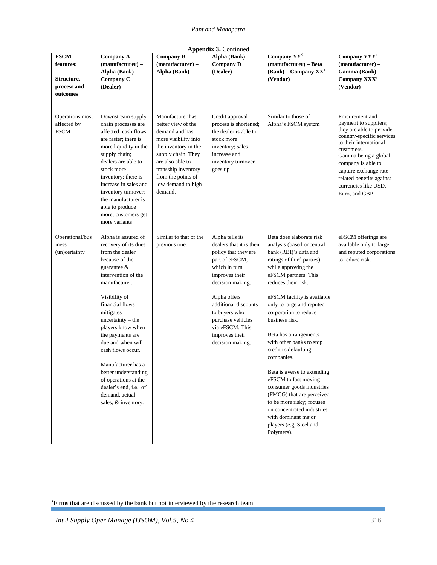| <b>Appendix 3. Continued</b>                                      |                                                                                                                                                                                                                                                                                                                                                                                                                                                |                                                                                                                                                                                                                                  |                                                                                                                                                                                                                                                                                     |                                                                                                                                                                                                                                                                                                                                                                                                                                                                                                                                                                                                                                 |                                                                                                                                                                                                                                                                                        |  |  |
|-------------------------------------------------------------------|------------------------------------------------------------------------------------------------------------------------------------------------------------------------------------------------------------------------------------------------------------------------------------------------------------------------------------------------------------------------------------------------------------------------------------------------|----------------------------------------------------------------------------------------------------------------------------------------------------------------------------------------------------------------------------------|-------------------------------------------------------------------------------------------------------------------------------------------------------------------------------------------------------------------------------------------------------------------------------------|---------------------------------------------------------------------------------------------------------------------------------------------------------------------------------------------------------------------------------------------------------------------------------------------------------------------------------------------------------------------------------------------------------------------------------------------------------------------------------------------------------------------------------------------------------------------------------------------------------------------------------|----------------------------------------------------------------------------------------------------------------------------------------------------------------------------------------------------------------------------------------------------------------------------------------|--|--|
| <b>FSCM</b><br>features:<br>Structure,<br>process and<br>outcomes | <b>Company A</b><br>$(\text{manufacturer}) -$<br>Alpha (Bank) -<br>Company C<br>(Dealer)                                                                                                                                                                                                                                                                                                                                                       | <b>Company B</b><br>$(\text{manufacturer}) -$<br>Alpha (Bank)                                                                                                                                                                    | Alpha (Bank) -<br><b>Company D</b><br>(Dealer)                                                                                                                                                                                                                                      | Company YY <sup>5</sup><br>(manufacturer) - Beta<br>$(Bank)$ – Company $XX1$<br>(Vendor)                                                                                                                                                                                                                                                                                                                                                                                                                                                                                                                                        | Company YYY <sup>1</sup><br>$(\text{manufacturer}) -$<br>Gamma (Bank) –<br>Company XXX <sup>1</sup><br>(Vendor)                                                                                                                                                                        |  |  |
| Operations most<br>affected by<br><b>FSCM</b>                     | Downstream supply<br>chain processes are<br>affected: cash flows<br>are faster; there is<br>more liquidity in the<br>supply chain;<br>dealers are able to<br>stock more<br>inventory; there is<br>increase in sales and<br>inventory turnover;<br>the manufacturer is<br>able to produce<br>more; customers get<br>more variants                                                                                                               | Manufacturer has<br>better view of the<br>demand and has<br>more visibility into<br>the inventory in the<br>supply chain. They<br>are also able to<br>transship inventory<br>from the points of<br>low demand to high<br>demand. | Credit approval<br>process is shortened;<br>the dealer is able to<br>stock more<br>inventory; sales<br>increase and<br>inventory turnover<br>goes up                                                                                                                                | Similar to those of<br>Alpha's FSCM system                                                                                                                                                                                                                                                                                                                                                                                                                                                                                                                                                                                      | Procurement and<br>payment to suppliers;<br>they are able to provide<br>country-specific services<br>to their international<br>customers.<br>Gamma being a global<br>company is able to<br>capture exchange rate<br>related benefits against<br>currencies like USD,<br>Euro, and GBP. |  |  |
| Operational/bus<br>iness<br>(un)certainty                         | Alpha is assured of<br>recovery of its dues<br>from the dealer<br>because of the<br>guarantee $\&$<br>intervention of the<br>manufacturer.<br>Visibility of<br>financial flows<br>mitigates<br>$uncertainty - the$<br>players know when<br>the payments are<br>due and when will<br>cash flows occur.<br>Manufacturer has a<br>better understanding<br>of operations at the<br>dealer's end, i.e., of<br>demand, actual<br>sales, & inventory. | Similar to that of the<br>previous one.                                                                                                                                                                                          | Alpha tells its<br>dealers that it is their<br>policy that they are<br>part of eFSCM,<br>which in turn<br>improves their<br>decision making.<br>Alpha offers<br>additional discounts<br>to buyers who<br>purchase vehicles<br>via eFSCM. This<br>improves their<br>decision making. | Beta does elaborate risk<br>analysis (based oncentral<br>bank (RBI)'s data and<br>ratings of third parties)<br>while approving the<br>eFSCM partners. This<br>reduces their risk.<br>eFSCM facility is available<br>only to large and reputed<br>corporation to reduce<br>business risk.<br>Beta has arrangements<br>with other banks to stop<br>credit to defaulting<br>companies.<br>Beta is averse to extending<br>eFSCM to fast moving<br>consumer goods industries<br>(FMCG) that are perceived<br>to be more risky; focuses<br>on concentrated industries<br>with dominant major<br>players (e.g, Steel and<br>Polymers). | eFSCM offerings are<br>available only to large<br>and reputed corporations<br>to reduce risk.                                                                                                                                                                                          |  |  |

<sup>&</sup>lt;sup>5</sup>Firms that are discussed by the bank but not interviewed by the research team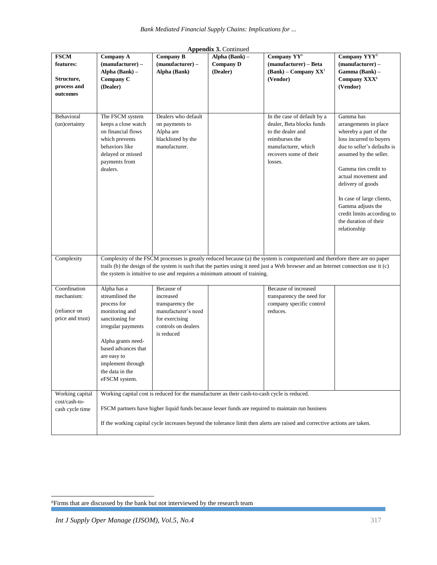|                                                                   |                                                                                                                                                                                                                                                                                                                                                 |                                                                                                                           | Appendix 3. Continued                          |                                                                                                                                                                                                                                 |                                                                                                                                                                                                                                                                                                                                              |
|-------------------------------------------------------------------|-------------------------------------------------------------------------------------------------------------------------------------------------------------------------------------------------------------------------------------------------------------------------------------------------------------------------------------------------|---------------------------------------------------------------------------------------------------------------------------|------------------------------------------------|---------------------------------------------------------------------------------------------------------------------------------------------------------------------------------------------------------------------------------|----------------------------------------------------------------------------------------------------------------------------------------------------------------------------------------------------------------------------------------------------------------------------------------------------------------------------------------------|
| <b>FSCM</b><br>features:<br>Structure,<br>process and<br>outcomes | <b>Company A</b><br>$(\text{manufacturer}) -$<br>Alpha (Bank) -<br>Company C<br>(Dealer)                                                                                                                                                                                                                                                        | Company B<br>$(manufacturer) -$<br>Alpha (Bank)                                                                           | Alpha (Bank) -<br><b>Company D</b><br>(Dealer) | Company YY <sup>6</sup><br>(manufacturer) - Beta<br>$(Bank)$ – Company $XX1$<br>(Vendor)                                                                                                                                        | Company YYY <sup>1</sup><br>$(\text{manufacturer}) -$<br>Gamma (Bank) -<br>Company XXX <sup>1</sup><br>(Vendor)                                                                                                                                                                                                                              |
| Behavioral<br>(un)certainty                                       | The FSCM system<br>keeps a close watch<br>on financial flows<br>which prevents<br>behaviors like<br>delayed or missed<br>payments from<br>dealers.                                                                                                                                                                                              | Dealers who default<br>on payments to<br>Alpha are<br>blacklisted by the<br>manufacturer.                                 |                                                | In the case of default by a<br>dealer, Beta blocks funds<br>to the dealer and<br>reimburses the<br>manufacturer, which<br>recovers some of their<br>losses.                                                                     | Gamma has<br>arrangements in place<br>whereby a part of the<br>loss incurred to buyers<br>due to seller's defaults is<br>assumed by the seller.<br>Gamma ties credit to<br>actual movement and<br>delivery of goods<br>In case of large clients,<br>Gamma adjusts the<br>credit limits according to<br>the duration of their<br>relationship |
| Complexity                                                        | Complexity of the FSCM processes is greatly reduced because (a) the system is computerized and therefore there are no paper<br>trails (b) the design of the system is such that the parties using it need just a Web browser and an Internet connection use it (c)<br>the system is intuitive to use and requires a minimum amount of training. |                                                                                                                           |                                                |                                                                                                                                                                                                                                 |                                                                                                                                                                                                                                                                                                                                              |
| Coordination<br>mechanism:<br>(reliance on<br>price and trust)    | Alpha has a<br>streamlined the<br>process for<br>monitoring and<br>sanctioning for<br>irregular payments<br>Alpha grants need-<br>based advances that<br>are easy to<br>implement through<br>the data in the<br>eFSCM system.                                                                                                                   | Because of<br>increased<br>transparency the<br>manufacturer's need<br>for exercising<br>controls on dealers<br>is reduced |                                                | Because of increased<br>transparency the need for<br>company specific control<br>reduces.                                                                                                                                       |                                                                                                                                                                                                                                                                                                                                              |
| Working capital<br>cost/cash-to-<br>cash cycle time               |                                                                                                                                                                                                                                                                                                                                                 | Working capital cost is reduced for the manufacturer as their cash-to-cash cycle is reduced.                              |                                                | FSCM partners have higher liquid funds because lesser funds are required to maintain run business<br>If the working capital cycle increases beyond the tolerance limit then alerts are raised and corrective actions are taken. |                                                                                                                                                                                                                                                                                                                                              |

<sup>&</sup>lt;sup>6</sup>Firms that are discussed by the bank but not interviewed by the research team